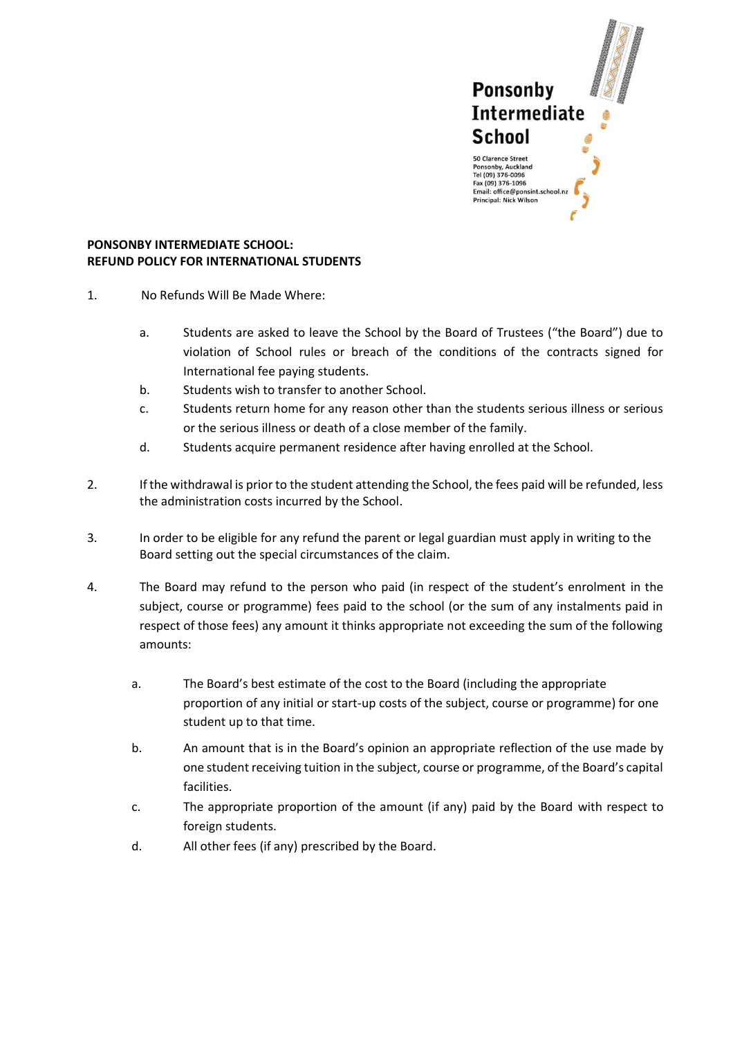

## **PONSONBY INTERMEDIATE SCHOOL: REFUND POLICY FOR INTERNATIONAL STUDENTS**

- 1. No Refunds Will Be Made Where:
	- a. Students are asked to leave the School by the Board of Trustees ("the Board") due to violation of School rules or breach of the conditions of the contracts signed for International fee paying students.
	- b. Students wish to transfer to another School.
	- c. Students return home for any reason other than the students serious illness or serious or the serious illness or death of a close member of the family.
	- d. Students acquire permanent residence after having enrolled at the School.
- 2. If the withdrawal is prior to the student attending the School, the fees paid will be refunded, less the administration costs incurred by the School.
- 3. In order to be eligible for any refund the parent or legal guardian must apply in writing to the Board setting out the special circumstances of the claim.
- 4. The Board may refund to the person who paid (in respect of the student's enrolment in the subject, course or programme) fees paid to the school (or the sum of any instalments paid in respect of those fees) any amount it thinks appropriate not exceeding the sum of the following amounts:
	- a. The Board's best estimate of the cost to the Board (including the appropriate proportion of any initial or start-up costs of the subject, course or programme) for one student up to that time.
	- b. An amount that is in the Board's opinion an appropriate reflection of the use made by one student receiving tuition in the subject, course or programme, of the Board's capital facilities.
	- c. The appropriate proportion of the amount (if any) paid by the Board with respect to foreign students.
	- d. All other fees (if any) prescribed by the Board.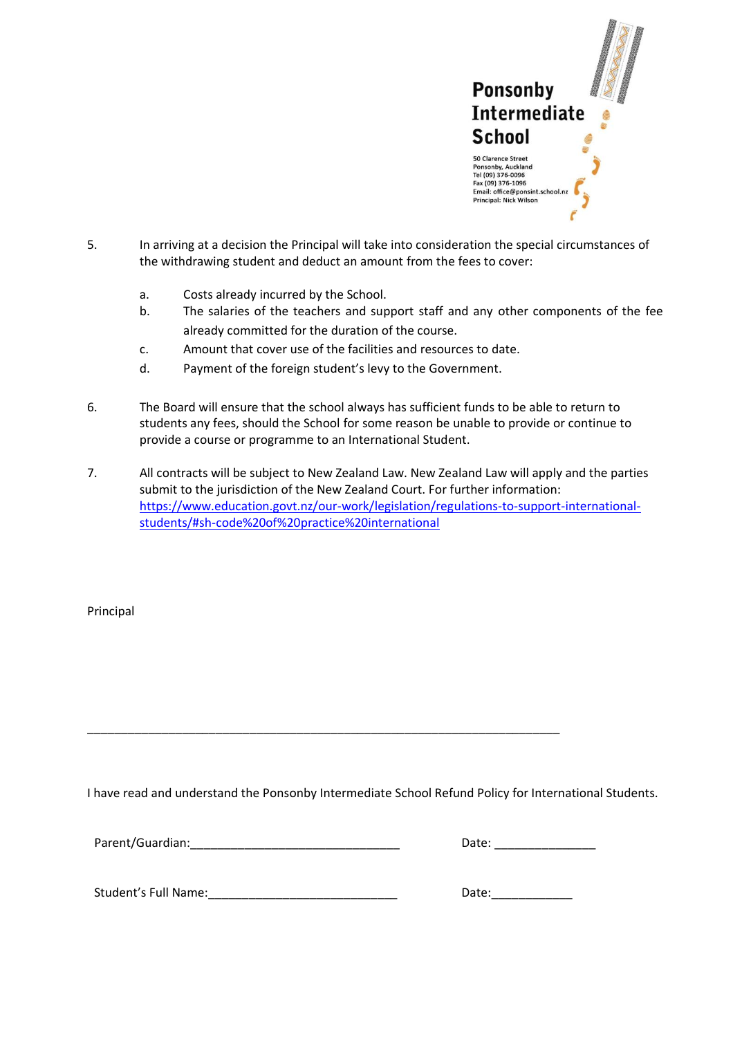

- 5. In arriving at a decision the Principal will take into consideration the special circumstances of the withdrawing student and deduct an amount from the fees to cover:
	- a. Costs already incurred by the School.
	- b. The salaries of the teachers and support staff and any other components of the fee already committed for the duration of the course.
	- c. Amount that cover use of the facilities and resources to date.
	- d. Payment of the foreign student's levy to the Government.
- 6. The Board will ensure that the school always has sufficient funds to be able to return to students any fees, should the School for some reason be unable to provide or continue to provide a course or programme to an International Student.
- 7. All contracts will be subject to New Zealand Law. New Zealand Law will apply and the parties submit to the jurisdiction of the New Zealand Court. For further information: [https://www.education.govt.nz/our-work/legislation/regulations-to-support-international](https://www.education.govt.nz/our-work/legislation/regulations-to-support-international-students/#sh-code%20of%20practice%20international)[students/#sh-code%20of%20practice%20international](https://www.education.govt.nz/our-work/legislation/regulations-to-support-international-students/#sh-code%20of%20practice%20international)

Principal

I have read and understand the Ponsonby Intermediate School Refund Policy for International Students.

\_\_\_\_\_\_\_\_\_\_\_\_\_\_\_\_\_\_\_\_\_\_\_\_\_\_\_\_\_\_\_\_\_\_\_\_\_\_\_\_\_\_\_\_\_\_\_\_\_\_\_\_\_\_\_\_\_\_\_\_\_\_\_\_\_\_\_\_\_\_

| Parent/Guardian: | Date: |
|------------------|-------|
|                  |       |

| Date: |  |
|-------|--|
|       |  |

Student's Full Name: The Contract of the Contract of the Contract of Date: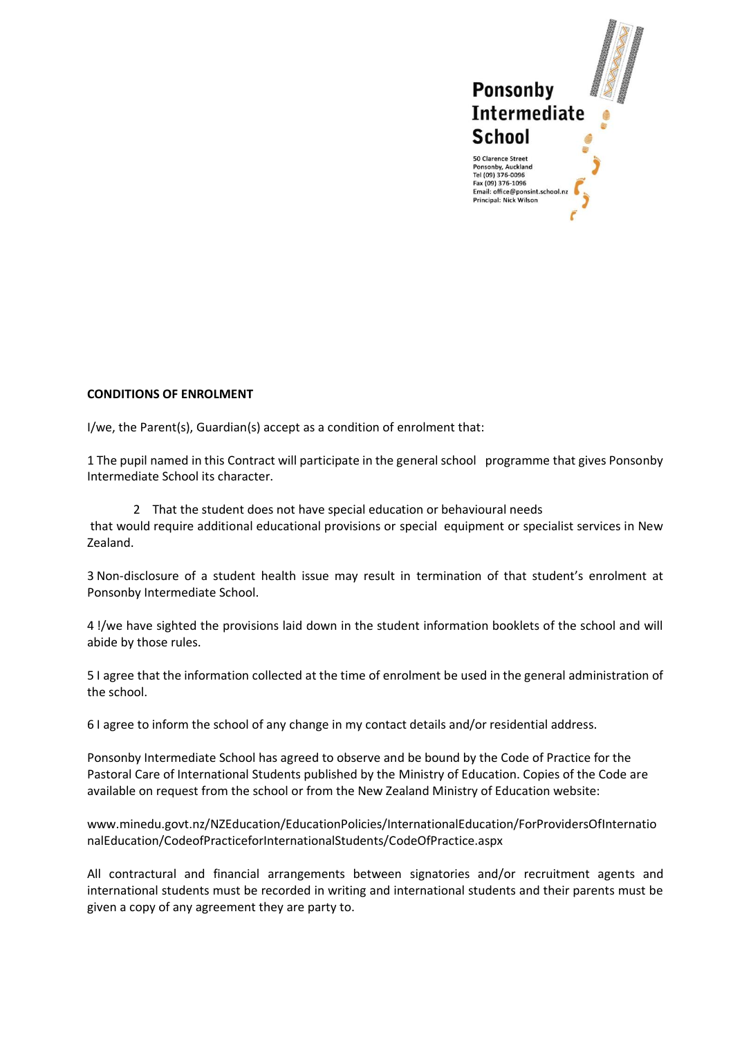

## **CONDITIONS OF ENROLMENT**

I/we, the Parent(s), Guardian(s) accept as a condition of enrolment that:

1 The pupil named in this Contract will participate in the general school programme that gives Ponsonby Intermediate School its character.

 2 That the student does not have special education or behavioural needs that would require additional educational provisions or special equipment or specialist services in New Zealand.

3 Non-disclosure of a student health issue may result in termination of that student's enrolment at Ponsonby Intermediate School.

4 !/we have sighted the provisions laid down in the student information booklets of the school and will abide by those rules.

5 I agree that the information collected at the time of enrolment be used in the general administration of the school.

6 I agree to inform the school of any change in my contact details and/or residential address.

Ponsonby Intermediate School has agreed to observe and be bound by the Code of Practice for the Pastoral Care of International Students published by the Ministry of Education. Copies of the Code are available on request from the school or from the New Zealand Ministry of Education website:

www.minedu.govt.nz/NZEducation/EducationPolicies/InternationalEducation/ForProvidersOfInternatio nalEducation/CodeofPracticeforInternationalStudents/CodeOfPractice.aspx

All contractural and financial arrangements between signatories and/or recruitment agents and international students must be recorded in writing and international students and their parents must be given a copy of any agreement they are party to.